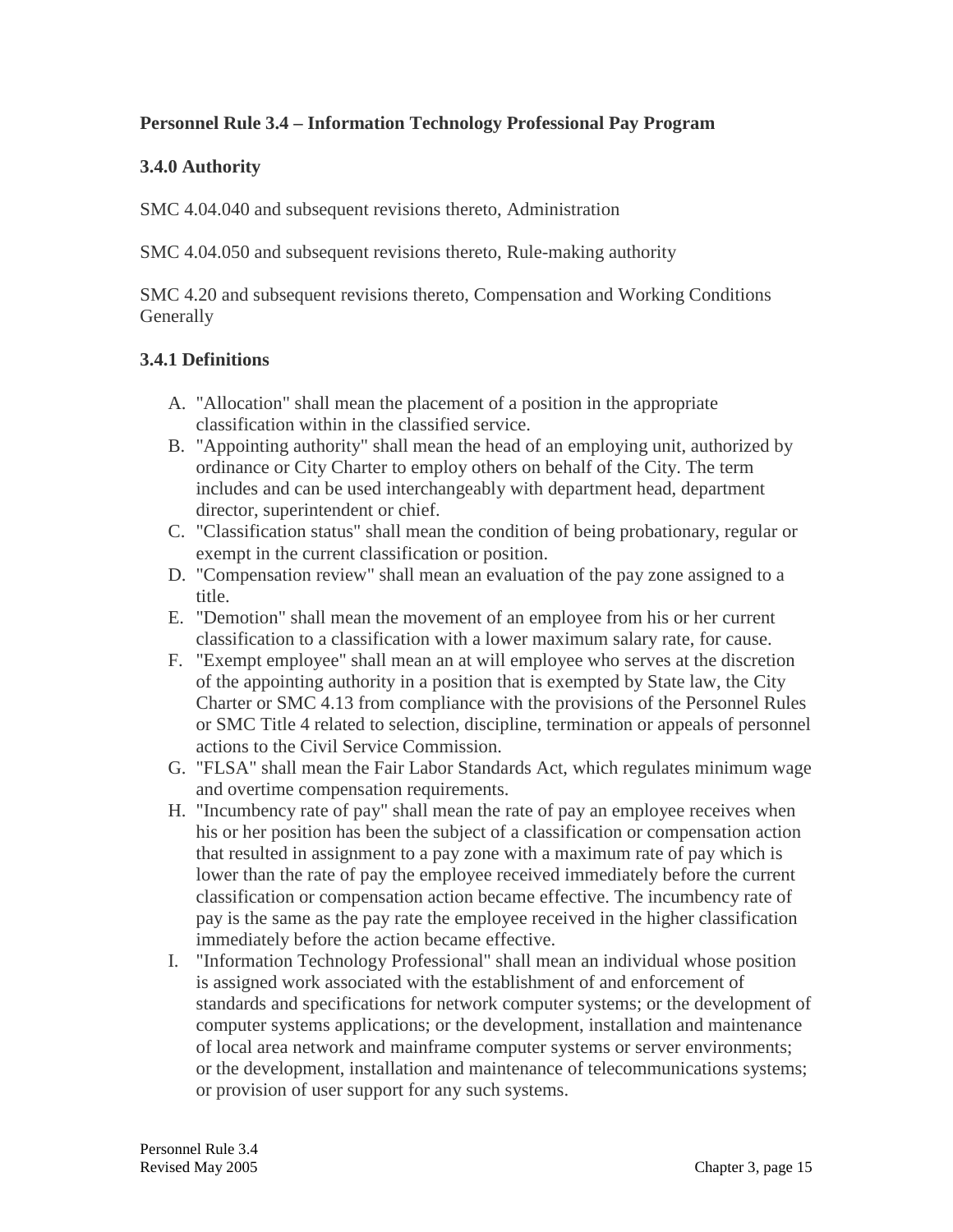## **Personnel Rule 3.4 – Information Technology Professional Pay Program**

### **3.4.0 Authority**

SMC 4.04.040 and subsequent revisions thereto, Administration

SMC 4.04.050 and subsequent revisions thereto, Rule-making authority

SMC 4.20 and subsequent revisions thereto, Compensation and Working Conditions **Generally** 

## **3.4.1 Definitions**

- A. "Allocation" shall mean the placement of a position in the appropriate classification within in the classified service.
- B. "Appointing authority" shall mean the head of an employing unit, authorized by ordinance or City Charter to employ others on behalf of the City. The term includes and can be used interchangeably with department head, department director, superintendent or chief.
- C. "Classification status" shall mean the condition of being probationary, regular or exempt in the current classification or position.
- D. "Compensation review" shall mean an evaluation of the pay zone assigned to a title.
- E. "Demotion" shall mean the movement of an employee from his or her current classification to a classification with a lower maximum salary rate, for cause.
- F. "Exempt employee" shall mean an at will employee who serves at the discretion of the appointing authority in a position that is exempted by State law, the City Charter or SMC 4.13 from compliance with the provisions of the Personnel Rules or SMC Title 4 related to selection, discipline, termination or appeals of personnel actions to the Civil Service Commission.
- G. "FLSA" shall mean the Fair Labor Standards Act, which regulates minimum wage and overtime compensation requirements.
- H. "Incumbency rate of pay" shall mean the rate of pay an employee receives when his or her position has been the subject of a classification or compensation action that resulted in assignment to a pay zone with a maximum rate of pay which is lower than the rate of pay the employee received immediately before the current classification or compensation action became effective. The incumbency rate of pay is the same as the pay rate the employee received in the higher classification immediately before the action became effective.
- I. "Information Technology Professional" shall mean an individual whose position is assigned work associated with the establishment of and enforcement of standards and specifications for network computer systems; or the development of computer systems applications; or the development, installation and maintenance of local area network and mainframe computer systems or server environments; or the development, installation and maintenance of telecommunications systems; or provision of user support for any such systems.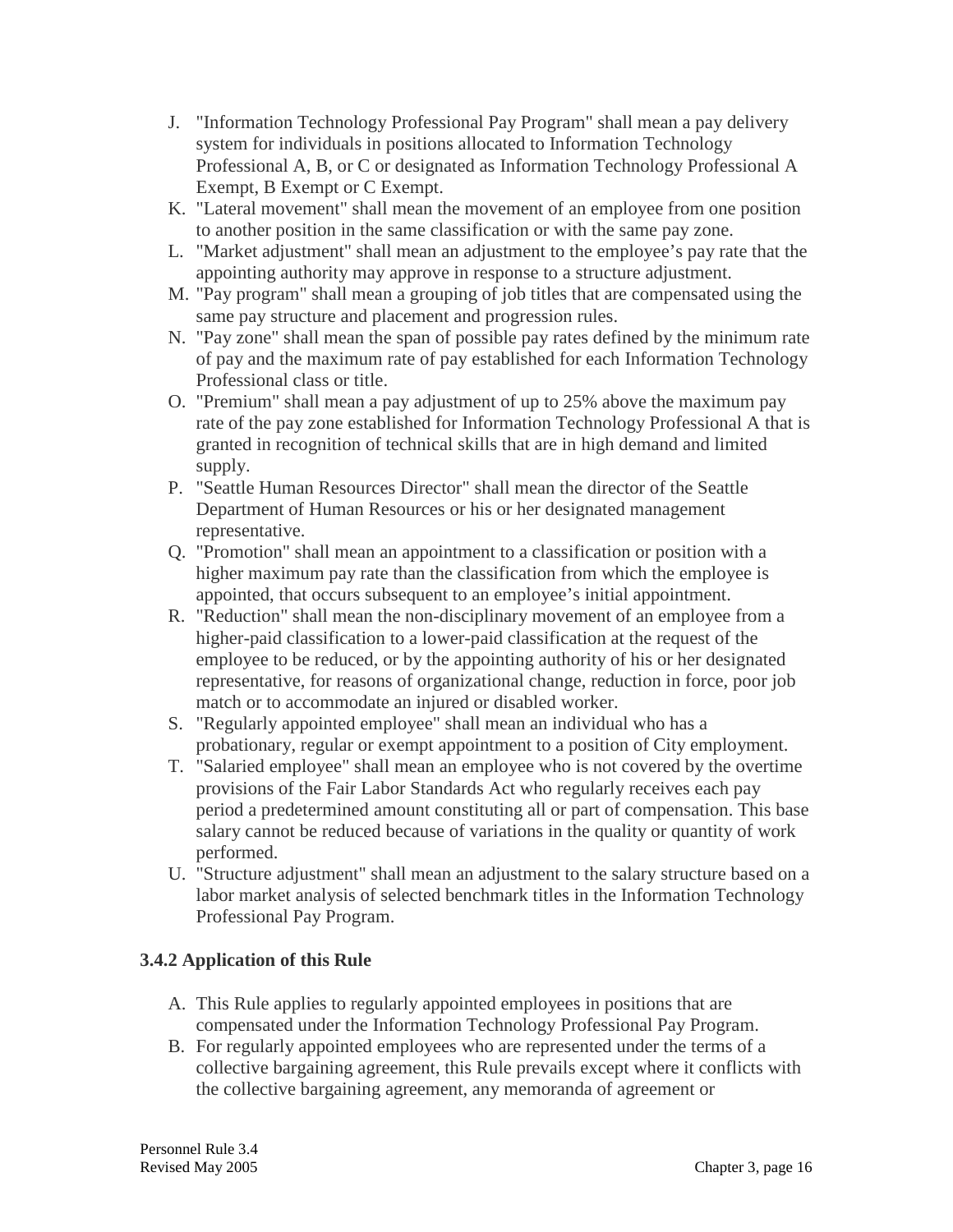- J. "Information Technology Professional Pay Program" shall mean a pay delivery system for individuals in positions allocated to Information Technology Professional A, B, or C or designated as Information Technology Professional A Exempt, B Exempt or C Exempt.
- K. "Lateral movement" shall mean the movement of an employee from one position to another position in the same classification or with the same pay zone.
- L. "Market adjustment" shall mean an adjustment to the employee's pay rate that the appointing authority may approve in response to a structure adjustment.
- M. "Pay program" shall mean a grouping of job titles that are compensated using the same pay structure and placement and progression rules.
- N. "Pay zone" shall mean the span of possible pay rates defined by the minimum rate of pay and the maximum rate of pay established for each Information Technology Professional class or title.
- O. "Premium" shall mean a pay adjustment of up to 25% above the maximum pay rate of the pay zone established for Information Technology Professional A that is granted in recognition of technical skills that are in high demand and limited supply.
- P. "Seattle Human Resources Director" shall mean the director of the Seattle Department of Human Resources or his or her designated management representative.
- Q. "Promotion" shall mean an appointment to a classification or position with a higher maximum pay rate than the classification from which the employee is appointed, that occurs subsequent to an employee's initial appointment.
- R. "Reduction" shall mean the non-disciplinary movement of an employee from a higher-paid classification to a lower-paid classification at the request of the employee to be reduced, or by the appointing authority of his or her designated representative, for reasons of organizational change, reduction in force, poor job match or to accommodate an injured or disabled worker.
- S. "Regularly appointed employee" shall mean an individual who has a probationary, regular or exempt appointment to a position of City employment.
- T. "Salaried employee" shall mean an employee who is not covered by the overtime provisions of the Fair Labor Standards Act who regularly receives each pay period a predetermined amount constituting all or part of compensation. This base salary cannot be reduced because of variations in the quality or quantity of work performed.
- U. "Structure adjustment" shall mean an adjustment to the salary structure based on a labor market analysis of selected benchmark titles in the Information Technology Professional Pay Program.

# **3.4.2 Application of this Rule**

- A. This Rule applies to regularly appointed employees in positions that are compensated under the Information Technology Professional Pay Program.
- B. For regularly appointed employees who are represented under the terms of a collective bargaining agreement, this Rule prevails except where it conflicts with the collective bargaining agreement, any memoranda of agreement or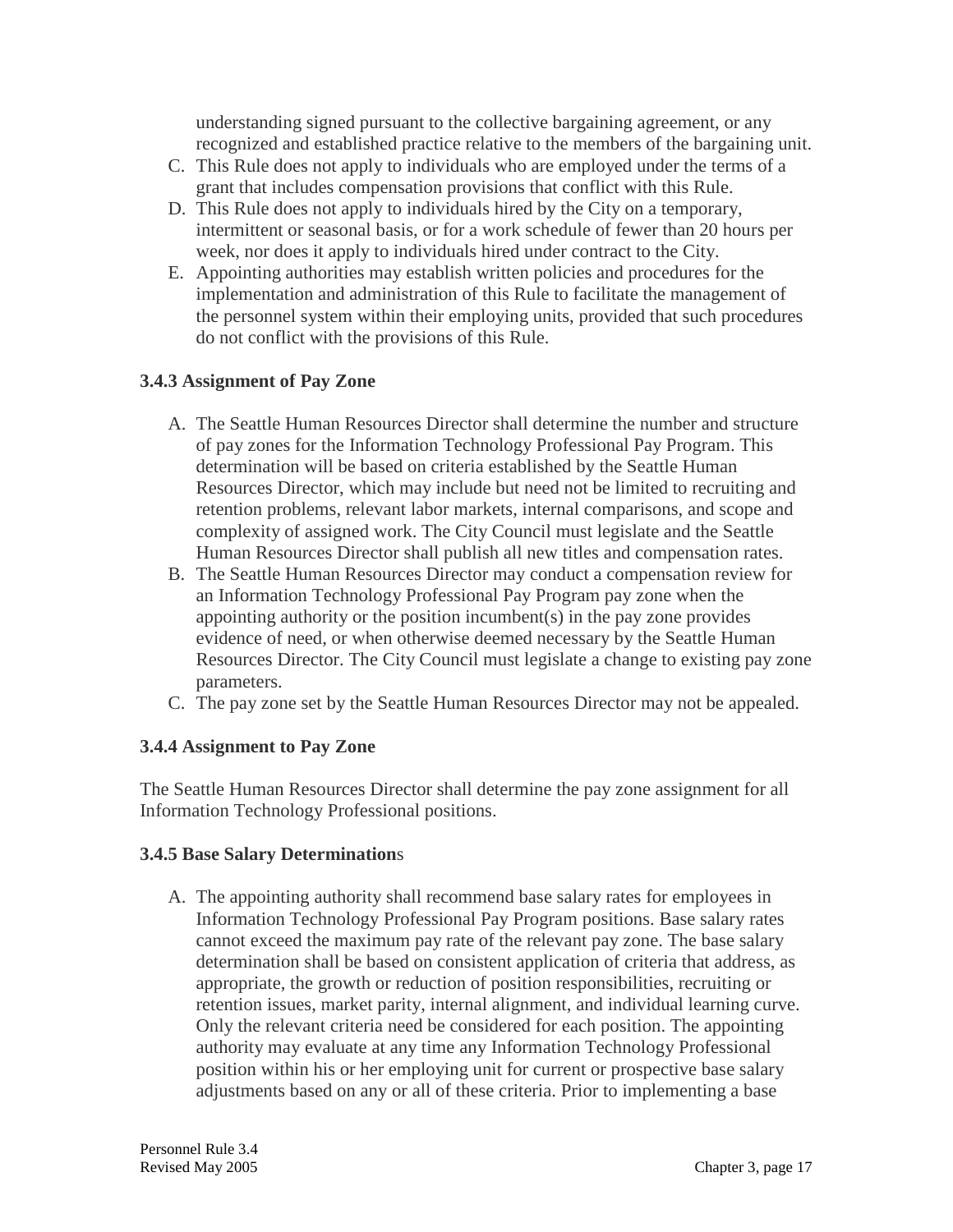understanding signed pursuant to the collective bargaining agreement, or any recognized and established practice relative to the members of the bargaining unit.

- C. This Rule does not apply to individuals who are employed under the terms of a grant that includes compensation provisions that conflict with this Rule.
- D. This Rule does not apply to individuals hired by the City on a temporary, intermittent or seasonal basis, or for a work schedule of fewer than 20 hours per week, nor does it apply to individuals hired under contract to the City.
- E. Appointing authorities may establish written policies and procedures for the implementation and administration of this Rule to facilitate the management of the personnel system within their employing units, provided that such procedures do not conflict with the provisions of this Rule.

# **3.4.3 Assignment of Pay Zone**

- A. The Seattle Human Resources Director shall determine the number and structure of pay zones for the Information Technology Professional Pay Program. This determination will be based on criteria established by the Seattle Human Resources Director, which may include but need not be limited to recruiting and retention problems, relevant labor markets, internal comparisons, and scope and complexity of assigned work. The City Council must legislate and the Seattle Human Resources Director shall publish all new titles and compensation rates.
- B. The Seattle Human Resources Director may conduct a compensation review for an Information Technology Professional Pay Program pay zone when the appointing authority or the position incumbent(s) in the pay zone provides evidence of need, or when otherwise deemed necessary by the Seattle Human Resources Director. The City Council must legislate a change to existing pay zone parameters.
- C. The pay zone set by the Seattle Human Resources Director may not be appealed.

### **3.4.4 Assignment to Pay Zone**

The Seattle Human Resources Director shall determine the pay zone assignment for all Information Technology Professional positions.

### **3.4.5 Base Salary Determination**s

A. The appointing authority shall recommend base salary rates for employees in Information Technology Professional Pay Program positions. Base salary rates cannot exceed the maximum pay rate of the relevant pay zone. The base salary determination shall be based on consistent application of criteria that address, as appropriate, the growth or reduction of position responsibilities, recruiting or retention issues, market parity, internal alignment, and individual learning curve. Only the relevant criteria need be considered for each position. The appointing authority may evaluate at any time any Information Technology Professional position within his or her employing unit for current or prospective base salary adjustments based on any or all of these criteria. Prior to implementing a base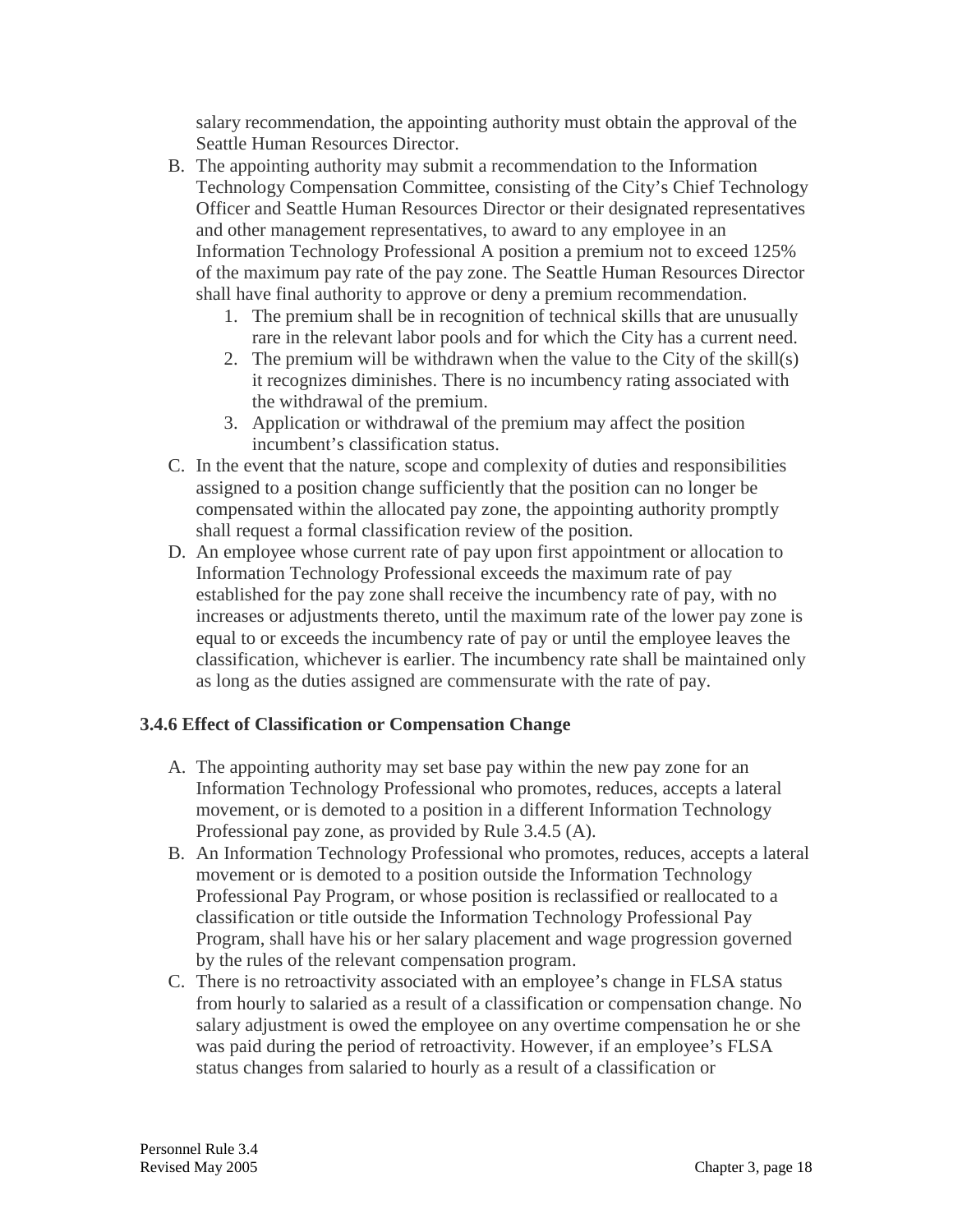salary recommendation, the appointing authority must obtain the approval of the Seattle Human Resources Director.

- B. The appointing authority may submit a recommendation to the Information Technology Compensation Committee, consisting of the City's Chief Technology Officer and Seattle Human Resources Director or their designated representatives and other management representatives, to award to any employee in an Information Technology Professional A position a premium not to exceed 125% of the maximum pay rate of the pay zone. The Seattle Human Resources Director shall have final authority to approve or deny a premium recommendation.
	- 1. The premium shall be in recognition of technical skills that are unusually rare in the relevant labor pools and for which the City has a current need.
	- 2. The premium will be withdrawn when the value to the City of the skill(s) it recognizes diminishes. There is no incumbency rating associated with the withdrawal of the premium.
	- 3. Application or withdrawal of the premium may affect the position incumbent's classification status.
- C. In the event that the nature, scope and complexity of duties and responsibilities assigned to a position change sufficiently that the position can no longer be compensated within the allocated pay zone, the appointing authority promptly shall request a formal classification review of the position.
- D. An employee whose current rate of pay upon first appointment or allocation to Information Technology Professional exceeds the maximum rate of pay established for the pay zone shall receive the incumbency rate of pay, with no increases or adjustments thereto, until the maximum rate of the lower pay zone is equal to or exceeds the incumbency rate of pay or until the employee leaves the classification, whichever is earlier. The incumbency rate shall be maintained only as long as the duties assigned are commensurate with the rate of pay.

### **3.4.6 Effect of Classification or Compensation Change**

- A. The appointing authority may set base pay within the new pay zone for an Information Technology Professional who promotes, reduces, accepts a lateral movement, or is demoted to a position in a different Information Technology Professional pay zone, as provided by Rule 3.4.5 (A).
- B. An Information Technology Professional who promotes, reduces, accepts a lateral movement or is demoted to a position outside the Information Technology Professional Pay Program, or whose position is reclassified or reallocated to a classification or title outside the Information Technology Professional Pay Program, shall have his or her salary placement and wage progression governed by the rules of the relevant compensation program.
- C. There is no retroactivity associated with an employee's change in FLSA status from hourly to salaried as a result of a classification or compensation change. No salary adjustment is owed the employee on any overtime compensation he or she was paid during the period of retroactivity. However, if an employee's FLSA status changes from salaried to hourly as a result of a classification or